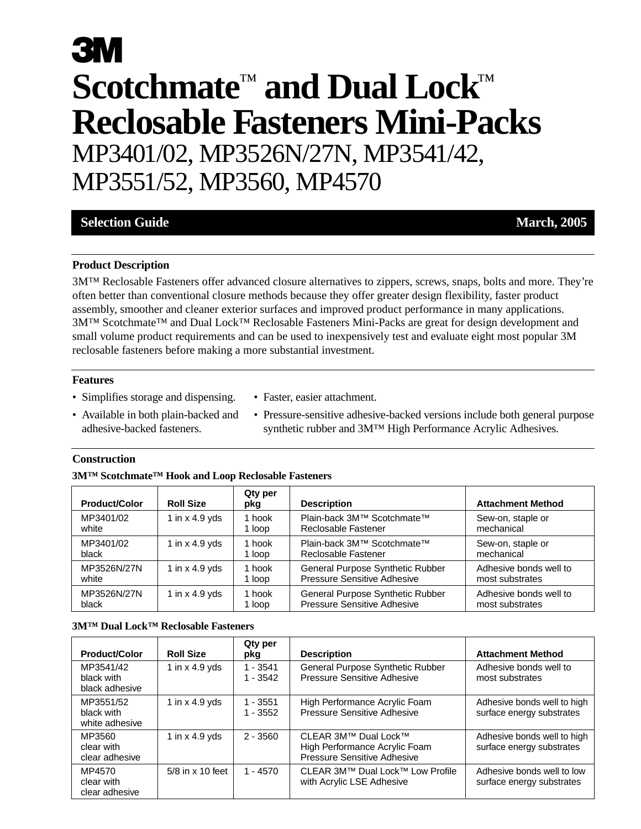# **3M Scotchmate**™ **and Dual Lock**™ **Reclosable Fasteners Mini-Packs** MP3401/02, MP3526N/27N, MP3541/42, MP3551/52, MP3560, MP4570

### **Selection Guide March, 2005**

#### **Product Description**

3M™ Reclosable Fasteners offer advanced closure alternatives to zippers, screws, snaps, bolts and more. They're often better than conventional closure methods because they offer greater design flexibility, faster product assembly, smoother and cleaner exterior surfaces and improved product performance in many applications. 3M™ Scotchmate™ and Dual Lock™ Reclosable Fasteners Mini-Packs are great for design development and small volume product requirements and can be used to inexpensively test and evaluate eight most popular 3M reclosable fasteners before making a more substantial investment.

#### **Features**

- Simplifies storage and dispensing.
- Faster, easier attachment.
- Available in both plain-backed and adhesive-backed fasteners.
- Pressure-sensitive adhesive-backed versions include both general purpose synthetic rubber and 3M™ High Performance Acrylic Adhesives.

#### **Construction**

| 3M <sup>™</sup> Scotchmate <sup>™</sup> Hook and Loop Reclosable Fasteners |  |
|----------------------------------------------------------------------------|--|
|----------------------------------------------------------------------------|--|

| <b>Product/Color</b> | <b>Roll Size</b> | Qty per<br>pkg | <b>Description</b>                 | <b>Attachment Method</b> |
|----------------------|------------------|----------------|------------------------------------|--------------------------|
| MP3401/02            | 1 in $x$ 4.9 yds | 1 hook         | Plain-back 3M™ Scotchmate™         | Sew-on, staple or        |
| white                |                  | 1 loop         | Reclosable Fastener                | mechanical               |
| MP3401/02            | 1 in $x$ 4.9 yds | 1 hook         | Plain-back 3M™ Scotchmate™         | Sew-on, staple or        |
| black                |                  | 1 loop         | Reclosable Fastener                | mechanical               |
| MP3526N/27N          | 1 in $x$ 4.9 yds | 1 hook         | General Purpose Synthetic Rubber   | Adhesive bonds well to   |
| white                |                  | 1 loop         | <b>Pressure Sensitive Adhesive</b> | most substrates          |
| MP3526N/27N          | 1 in $x$ 4.9 yds | 1 hook         | General Purpose Synthetic Rubber   | Adhesive bonds well to   |
| black                |                  | 1 loop         | <b>Pressure Sensitive Adhesive</b> | most substrates          |

|  | <b>3MTM Dual LockTM Reclosable Fasteners</b> |
|--|----------------------------------------------|
|--|----------------------------------------------|

| <b>Product/Color</b>                      | <b>Roll Size</b>          | Qty per<br>pkg           | <b>Description</b>                                                                   | <b>Attachment Method</b>                                 |
|-------------------------------------------|---------------------------|--------------------------|--------------------------------------------------------------------------------------|----------------------------------------------------------|
| MP3541/42<br>black with<br>black adhesive | 1 in $\times$ 4.9 yds     | $1 - 3541$<br>$1 - 3542$ | General Purpose Synthetic Rubber<br><b>Pressure Sensitive Adhesive</b>               | Adhesive bonds well to<br>most substrates                |
| MP3551/52<br>black with<br>white adhesive | 1 in x 4.9 yds            | $1 - 3551$<br>$1 - 3552$ | High Performance Acrylic Foam<br>Pressure Sensitive Adhesive                         | Adhesive bonds well to high<br>surface energy substrates |
| MP3560<br>clear with<br>clear adhesive    | 1 in $x$ 4.9 yds          | $2 - 3560$               | CLEAR 3M™ Dual Lock™<br>High Performance Acrylic Foam<br>Pressure Sensitive Adhesive | Adhesive bonds well to high<br>surface energy substrates |
| MP4570<br>clear with<br>clear adhesive    | $5/8$ in $\times$ 10 feet | $1 - 4570$               | CLEAR 3M™ Dual Lock™ Low Profile<br>with Acrylic LSE Adhesive                        | Adhesive bonds well to low<br>surface energy substrates  |